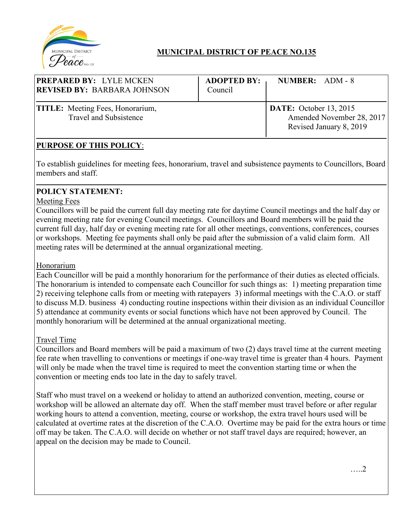

# **MUNICIPAL DISTRICT OF PEACE NO.135**

| <b>PREPARED BY: LYLE MCKEN</b><br><b>REVISED BY: BARBARA JOHNSON</b>     | <b>ADOPTED BY:</b><br>Council | NUMBER: ADM - 8                                                                       |
|--------------------------------------------------------------------------|-------------------------------|---------------------------------------------------------------------------------------|
| <b>TITLE:</b> Meeting Fees, Honorarium,<br><b>Travel and Subsistence</b> |                               | <b>DATE:</b> October 13, 2015<br>Amended November 28, 2017<br>Revised January 8, 2019 |

# **PURPOSE OF THIS POLICY**:

To establish guidelines for meeting fees, honorarium, travel and subsistence payments to Councillors, Board members and staff.

### **POLICY STATEMENT:**

### Meeting Fees

Councillors will be paid the current full day meeting rate for daytime Council meetings and the half day or evening meeting rate for evening Council meetings. Councillors and Board members will be paid the current full day, half day or evening meeting rate for all other meetings, conventions, conferences, courses or workshops. Meeting fee payments shall only be paid after the submission of a valid claim form. All meeting rates will be determined at the annual organizational meeting.

### Honorarium

Each Councillor will be paid a monthly honorarium for the performance of their duties as elected officials. The honorarium is intended to compensate each Councillor for such things as: 1) meeting preparation time 2) receiving telephone calls from or meeting with ratepayers 3) informal meetings with the C.A.O. or staff to discuss M.D. business 4) conducting routine inspections within their division as an individual Councillor 5) attendance at community events or social functions which have not been approved by Council. The monthly honorarium will be determined at the annual organizational meeting.

### Travel Time

Councillors and Board members will be paid a maximum of two (2) days travel time at the current meeting fee rate when travelling to conventions or meetings if one-way travel time is greater than 4 hours. Payment will only be made when the travel time is required to meet the convention starting time or when the convention or meeting ends too late in the day to safely travel.

Staff who must travel on a weekend or holiday to attend an authorized convention, meeting, course or workshop will be allowed an alternate day off. When the staff member must travel before or after regular working hours to attend a convention, meeting, course or workshop, the extra travel hours used will be calculated at overtime rates at the discretion of the C.A.O. Overtime may be paid for the extra hours or time off may be taken. The C.A.O. will decide on whether or not staff travel days are required; however, an appeal on the decision may be made to Council.

…..2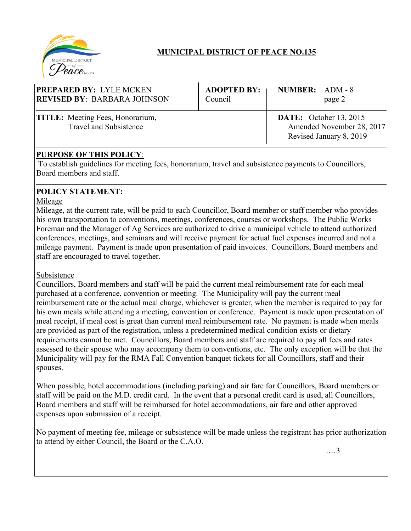

# **MUNICIPAL DISTRICT OF PEACE NO.135**

| <b>PREPARED BY: LYLE MCKEN</b>                                    | <b>ADOPTED BY:</b> | NUMBER: ADM - 8                                                                       |
|-------------------------------------------------------------------|--------------------|---------------------------------------------------------------------------------------|
| <b>REVISED BY: BARBARA JOHNSON</b>                                | Council            | page 2                                                                                |
| <b>TITLE:</b> Meeting Fees, Honorarium,<br>Travel and Subsistence |                    | <b>DATE:</b> October 13, 2015<br>Amended November 28, 2017<br>Revised January 8, 2019 |

## **PURPOSE OF THIS POLICY**:

To establish guidelines for meeting fees, honorarium, travel and subsistence payments to Councillors, Board members and staff.

# **POLICY STATEMENT:**

#### Mileage

Mileage, at the current rate, will be paid to each Councillor, Board member or staff member who provides his own transportation to conventions, meetings, conferences, courses or workshops. The Public Works Foreman and the Manager of Ag Services are authorized to drive a municipal vehicle to attend authorized conferences, meetings, and seminars and will receive payment for actual fuel expenses incurred and not a mileage payment. Payment is made upon presentation of paid invoices. Councillors, Board members and staff are encouraged to travel together.

### Subsistence

Councillors, Board members and staff will be paid the current meal reimbursement rate for each meal purchased at a conference, convention or meeting. The Municipality will pay the current meal reimbursement rate or the actual meal charge, whichever is greater, when the member is required to pay for his own meals while attending a meeting, convention or conference. Payment is made upon presentation of meal receipt, if meal cost is great than current meal reimbursement rate. No payment is made when meals are provided as part of the registration, unless a predetermined medical condition exists or dietary requirements cannot be met. Councillors, Board members and staff are required to pay all fees and rates assessed to their spouse who may accompany them to conventions, etc. The only exception will be that the Municipality will pay for the RMA Fall Convention banquet tickets for all Councillors, staff and their spouses.

When possible, hotel accommodations (including parking) and air fare for Councillors, Board members or staff will be paid on the M.D. credit card. In the event that a personal credit card is used, all Councillors, Board members and staff will be reimbursed for hotel accommodations, air fare and other approved expenses upon submission of a receipt.

No payment of meeting fee, mileage or subsistence will be made unless the registrant has prior authorization to attend by either Council, the Board or the C.A.O.

.…3